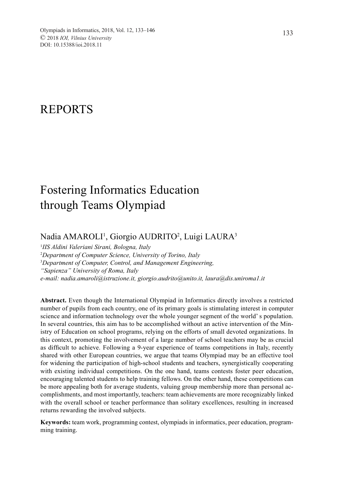# REPORTS

# Fostering Informatics Education through Teams Olympiad

# Nadia AMAROLI<sup>1</sup>, Giorgio AUDRITO<sup>2</sup>, Luigi LAURA<sup>3</sup>

1 *IIS Aldini Valeriani Sirani, Bologna, Italy* 2 *Department of Computer Science, University of Torino, Italy* 3 *Department of Computer, Control, and Management Engineering, "Sapienza" University of Roma, Italy e-mail: nadia.amaroli@istruzione.it, giorgio.audrito@unito.it, laura@dis.uniroma1.it*

**Abstract.** Even though the International Olympiad in Informatics directly involves a restricted number of pupils from each country, one of its primary goals is stimulating interest in computer science and information technology over the whole younger segment of the world' s population. In several countries, this aim has to be accomplished without an active intervention of the Ministry of Education on school programs, relying on the efforts of small devoted organizations. In this context, promoting the involvement of a large number of school teachers may be as crucial as difficult to achieve. Following a 9-year experience of teams competitions in Italy, recently shared with other European countries, we argue that teams Olympiad may be an effective tool for widening the participation of high-school students and teachers, synergistically cooperating with existing individual competitions. On the one hand, teams contests foster peer education, encouraging talented students to help training fellows. On the other hand, these competitions can be more appealing both for average students, valuing group membership more than personal accomplishments, and most importantly, teachers: team achievements are more recognizably linked with the overall school or teacher performance than solitary excellences, resulting in increased returns rewarding the involved subjects.

**Keywords:** team work, programming contest, olympiads in informatics, peer education, programming training.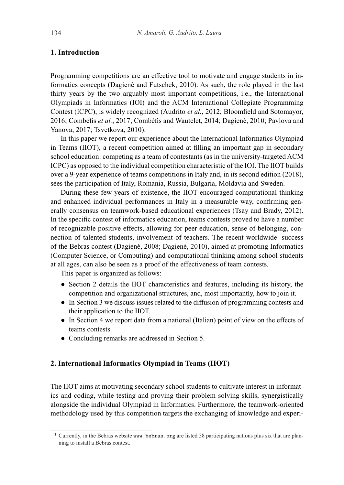# **1. Introduction**

Programming competitions are an effective tool to motivate and engage students in informatics concepts (Dagienė and Futschek, 2010). As such, the role played in the last thirty years by the two arguably most important competitions, i.e., the International Olympiads in Informatics (IOI) and the ACM International Collegiate Programming Contest (ICPC), is widely recognized (Audrito *et al.*, 2012; Bloomfield and Sotomayor, 2016; Combéfis *et al.*, 2017; Combéfis and Wautelet, 2014; Dagienė, 2010; Pavlova and Yanova, 2017; Tsvetkova, 2010).

In this paper we report our experience about the International Informatics Olympiad in Teams (IIOT), a recent competition aimed at filling an important gap in secondary school education: competing as a team of contestants (as in the university-targeted ACM ICPC) as opposed to the individual competition characteristic of the IOI. The IIOT builds over a 9-year experience of teams competitions in Italy and, in its second edition (2018), sees the participation of Italy, Romania, Russia, Bulgaria, Moldavia and Sweden.

During these few years of existence, the IIOT encouraged computational thinking and enhanced individual performances in Italy in a measurable way, confirming generally consensus on teamwork-based educational experiences (Tsay and Brady, 2012). In the specific contest of informatics education, teams contests proved to have a number of recognizable positive effects, allowing for peer education, sense of belonging, connection of talented students, involvement of teachers. The recent worldwide<sup>1</sup> success of the Bebras contest (Dagienė, 2008; Dagienė, 2010), aimed at promoting Informatics (Computer Science, or Computing) and computational thinking among school students at all ages, can also be seen as a proof of the effectiveness of team contests.

This paper is organized as follows:

- Section 2 details the IIOT characteristics and features, including its history, the competition and organizational structures, and, most importantly, how to join it.
- In Section 3 we discuss issues related to the diffusion of programming contests and their application to the IIOT.
- In Section 4 we report data from a national (Italian) point of view on the effects of teams contests.
- Concluding remarks are addressed in Section 5.

# **2. International Informatics Olympiad in Teams (IIOT)**

The IIOT aims at motivating secondary school students to cultivate interest in informatics and coding, while testing and proving their problem solving skills, synergistically alongside the individual Olympiad in Informatics. Furthermore, the teamwork-oriented methodology used by this competition targets the exchanging of knowledge and experi-

<sup>&</sup>lt;sup>1</sup> Currently, in the Bebras website www.bebras.org are listed 58 participating nations plus six that are planning to install a Bebras contest.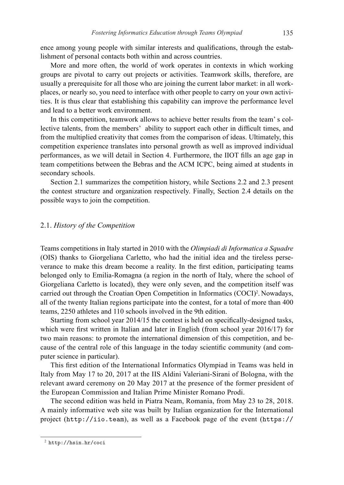ence among young people with similar interests and qualifications, through the establishment of personal contacts both within and across countries.

More and more often, the world of work operates in contexts in which working groups are pivotal to carry out projects or activities. Teamwork skills, therefore, are usually a prerequisite for all those who are joining the current labor market: in all workplaces, or nearly so, you need to interface with other people to carry on your own activities. It is thus clear that establishing this capability can improve the performance level and lead to a better work environment.

In this competition, teamwork allows to achieve better results from the team' s collective talents, from the members' ability to support each other in difficult times, and from the multiplied creativity that comes from the comparison of ideas. Ultimately, this competition experience translates into personal growth as well as improved individual performances, as we will detail in Section 4. Furthermore, the IIOT fills an age gap in team competitions between the Bebras and the ACM ICPC, being aimed at students in secondary schools.

Section 2.1 summarizes the competition history, while Sections 2.2 and 2.3 present the contest structure and organization respectively. Finally, Section 2.4 details on the possible ways to join the competition.

#### 2.1. *History of the Competition*

Teams competitions in Italy started in 2010 with the *Olimpiadi di Informatica a Squadre*  (OIS) thanks to Giorgeliana Carletto, who had the initial idea and the tireless perseverance to make this dream become a reality. In the first edition, participating teams belonged only to Emilia-Romagna (a region in the north of Italy, where the school of Giorgeliana Carletto is located), they were only seven, and the competition itself was carried out through the Croatian Open Competition in Informatics (COCI)<sup>2</sup>. Nowadays, all of the twenty Italian regions participate into the contest, for a total of more than 400 teams, 2250 athletes and 110 schools involved in the 9th edition.

Starting from school year 2014/15 the contest is held on specifically-designed tasks, which were first written in Italian and later in English (from school year 2016/17) for two main reasons: to promote the international dimension of this competition, and because of the central role of this language in the today scientific community (and computer science in particular).

This first edition of the International Informatics Olympiad in Teams was held in Italy from May 17 to 20, 2017 at the IIS Aldini Valeriani-Sirani of Bologna, with the relevant award ceremony on 20 May 2017 at the presence of the former president of the European Commission and Italian Prime Minister Romano Prodi.

The second edition was held in Piatra Neam, Romania, from May 23 to 28, 2018. A mainly informative web site was built by Italian organization for the International project (http://iio.team), as well as a Facebook page of the event (https://

<sup>2</sup> http://hsin.hr/coci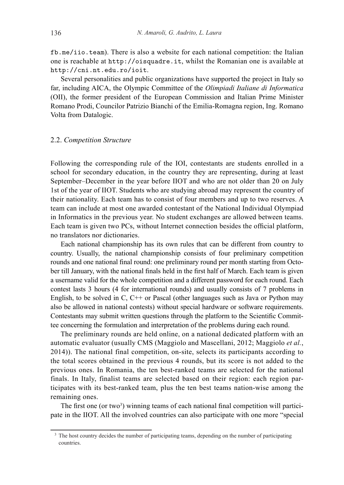fb.me/iio.team). There is also a website for each national competition: the Italian one is reachable at http://oisquadre.it, whilst the Romanian one is available at http://cni.nt.edu.ro/ioit.

Several personalities and public organizations have supported the project in Italy so far, including AICA, the Olympic Committee of the *Olimpiadi Italiane di Informatica*  (OII), the former president of the European Commission and Italian Prime Minister Romano Prodi, Councilor Patrizio Bianchi of the Emilia-Romagna region, Ing. Romano Volta from Datalogic.

#### 2.2. *Competition Structure*

Following the corresponding rule of the IOI, contestants are students enrolled in a school for secondary education, in the country they are representing, during at least September–December in the year before IIOT and who are not older than 20 on July 1st of the year of IIOT. Students who are studying abroad may represent the country of their nationality. Each team has to consist of four members and up to two reserves. A team can include at most one awarded contestant of the National Individual Olympiad in Informatics in the previous year. No student exchanges are allowed between teams. Each team is given two PCs, without Internet connection besides the official platform, no translators nor dictionaries.

Each national championship has its own rules that can be different from country to country. Usually, the national championship consists of four preliminary competition rounds and one national final round: one preliminary round per month starting from October till January, with the national finals held in the first half of March. Each team is given a username valid for the whole competition and a different password for each round. Each contest lasts 3 hours (4 for international rounds) and usually consists of 7 problems in English, to be solved in C,  $C++$  or Pascal (other languages such as Java or Python may also be allowed in national contests) without special hardware or software requirements. Contestants may submit written questions through the platform to the Scientific Committee concerning the formulation and interpretation of the problems during each round.

The preliminary rounds are held online, on a national dedicated platform with an automatic evaluator (usually CMS (Maggiolo and Mascellani, 2012; Maggiolo *et al.*, 2014)). The national final competition, on-site, selects its participants according to the total scores obtained in the previous 4 rounds, but its score is not added to the previous ones. In Romania, the ten best-ranked teams are selected for the national finals. In Italy, finalist teams are selected based on their region: each region participates with its best-ranked team, plus the ten best teams nation-wise among the remaining ones.

The first one (or two<sup>3</sup>) winning teams of each national final competition will participate in the IIOT. All the involved countries can also participate with one more "special

<sup>&</sup>lt;sup>3</sup> The host country decides the number of participating teams, depending on the number of participating countries.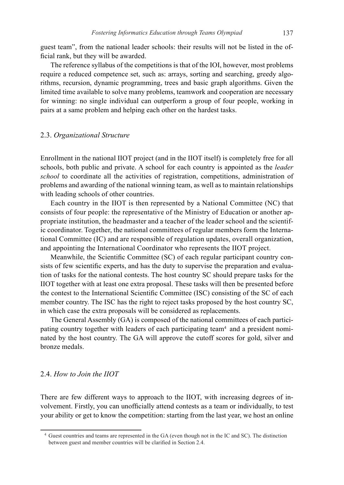guest team", from the national leader schools: their results will not be listed in the official rank, but they will be awarded.

The reference syllabus of the competitions is that of the IOI, however, most problems require a reduced competence set, such as: arrays, sorting and searching, greedy algorithms, recursion, dynamic programming, trees and basic graph algorithms. Given the limited time available to solve many problems, teamwork and cooperation are necessary for winning: no single individual can outperform a group of four people, working in pairs at a same problem and helping each other on the hardest tasks.

## 2.3. *Organizational Structure*

Enrollment in the national IIOT project (and in the IIOT itself) is completely free for all schools, both public and private. A school for each country is appointed as the *leader school* to coordinate all the activities of registration, competitions, administration of problems and awarding of the national winning team, as well as to maintain relationships with leading schools of other countries.

Each country in the IIOT is then represented by a National Committee (NC) that consists of four people: the representative of the Ministry of Education or another appropriate institution, the headmaster and a teacher of the leader school and the scientific coordinator. Together, the national committees of regular members form the International Committee (IC) and are responsible of regulation updates, overall organization, and appointing the International Coordinator who represents the IIOT project.

Meanwhile, the Scientific Committee (SC) of each regular participant country consists of few scientific experts, and has the duty to supervise the preparation and evaluation of tasks for the national contests. The host country SC should prepare tasks for the IIOT together with at least one extra proposal. These tasks will then be presented before the contest to the International Scientific Committee (ISC) consisting of the SC of each member country. The ISC has the right to reject tasks proposed by the host country SC, in which case the extra proposals will be considered as replacements.

The General Assembly (GA) is composed of the national committees of each participating country together with leaders of each participating team4 and a president nominated by the host country. The GA will approve the cutoff scores for gold, silver and bronze medals.

## 2.4. *How to Join the IIOT*

There are few different ways to approach to the IIOT, with increasing degrees of involvement. Firstly, you can unofficially attend contests as a team or individually, to test your ability or get to know the competition: starting from the last year, we host an online

<sup>4</sup> Guest countries and teams are represented in the GA (even though not in the IC and SC). The distinction between guest and member countries will be clarified in Section 2.4.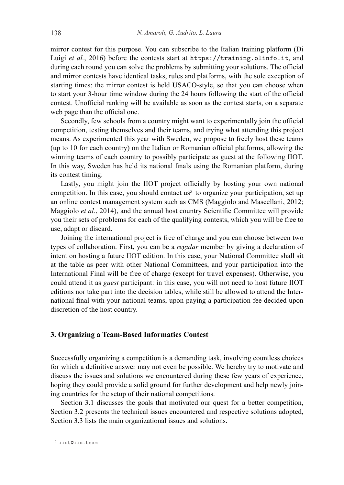mirror contest for this purpose. You can subscribe to the Italian training platform (Di Luigi *et al.*, 2016) before the contests start at https://training.olinfo.it, and during each round you can solve the problems by submitting your solutions. The official and mirror contests have identical tasks, rules and platforms, with the sole exception of starting times: the mirror contest is held USACO-style, so that you can choose when to start your 3-hour time window during the 24 hours following the start of the official contest. Unofficial ranking will be available as soon as the contest starts, on a separate web page than the official one.

Secondly, few schools from a country might want to experimentally join the official competition, testing themselves and their teams, and trying what attending this project means. As experimented this year with Sweden, we propose to freely host these teams (up to 10 for each country) on the Italian or Romanian official platforms, allowing the winning teams of each country to possibly participate as guest at the following IIOT. In this way, Sweden has held its national finals using the Romanian platform, during its contest timing.

Lastly, you might join the IIOT project officially by hosting your own national competition. In this case, you should contact us<sup>5</sup> to organize your participation, set up an online contest management system such as CMS (Maggiolo and Mascellani, 2012; Maggiolo *et al.*, 2014), and the annual host country Scientific Committee will provide you their sets of problems for each of the qualifying contests, which you will be free to use, adapt or discard.

Joining the international project is free of charge and you can choose between two types of collaboration. First, you can be a *regular* member by giving a declaration of intent on hosting a future IIOT edition. In this case, your National Committee shall sit at the table as peer with other National Committees, and your participation into the International Final will be free of charge (except for travel expenses). Otherwise, you could attend it as *guest* participant: in this case, you will not need to host future IIOT editions nor take part into the decision tables, while still be allowed to attend the International final with your national teams, upon paying a participation fee decided upon discretion of the host country.

#### **3. Organizing a Team-Based Informatics Contest**

Successfully organizing a competition is a demanding task, involving countless choices for which a definitive answer may not even be possible. We hereby try to motivate and discuss the issues and solutions we encountered during these few years of experience, hoping they could provide a solid ground for further development and help newly joining countries for the setup of their national competitions.

Section 3.1 discusses the goals that motivated our quest for a better competition, Section 3.2 presents the technical issues encountered and respective solutions adopted, Section 3.3 lists the main organizational issues and solutions.

 $5$  iiot@iio.team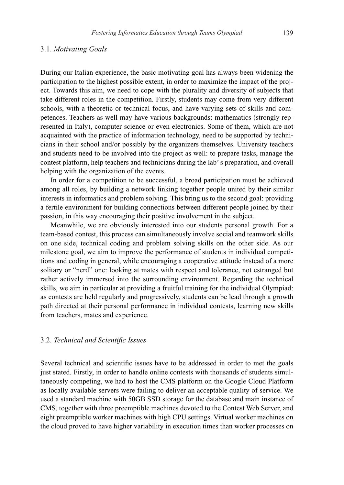#### 3.1. *Motivating Goals*

During our Italian experience, the basic motivating goal has always been widening the participation to the highest possible extent, in order to maximize the impact of the project. Towards this aim, we need to cope with the plurality and diversity of subjects that take different roles in the competition. Firstly, students may come from very different schools, with a theoretic or technical focus, and have varying sets of skills and competences. Teachers as well may have various backgrounds: mathematics (strongly represented in Italy), computer science or even electronics. Some of them, which are not acquainted with the practice of information technology, need to be supported by technicians in their school and/or possibly by the organizers themselves. University teachers and students need to be involved into the project as well: to prepare tasks, manage the contest platform, help teachers and technicians during the lab' s preparation, and overall helping with the organization of the events.

In order for a competition to be successful, a broad participation must be achieved among all roles, by building a network linking together people united by their similar interests in informatics and problem solving. This bring us to the second goal: providing a fertile environment for building connections between different people joined by their passion, in this way encouraging their positive involvement in the subject.

Meanwhile, we are obviously interested into our students personal growth. For a team-based contest, this process can simultaneously involve social and teamwork skills on one side, technical coding and problem solving skills on the other side. As our milestone goal, we aim to improve the performance of students in individual competitions and coding in general, while encouraging a cooperative attitude instead of a more solitary or "nerd" one: looking at mates with respect and tolerance, not estranged but rather actively immersed into the surrounding environment. Regarding the technical skills, we aim in particular at providing a fruitful training for the individual Olympiad: as contests are held regularly and progressively, students can be lead through a growth path directed at their personal performance in individual contests, learning new skills from teachers, mates and experience.

#### 3.2. *Technical and Scientific Issues*

Several technical and scientific issues have to be addressed in order to met the goals just stated. Firstly, in order to handle online contests with thousands of students simultaneously competing, we had to host the CMS platform on the Google Cloud Platform as locally available servers were failing to deliver an acceptable quality of service. We used a standard machine with 50GB SSD storage for the database and main instance of CMS, together with three preemptible machines devoted to the Contest Web Server, and eight preemptible worker machines with high CPU settings. Virtual worker machines on the cloud proved to have higher variability in execution times than worker processes on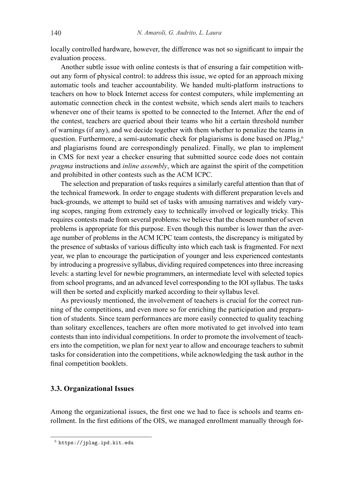locally controlled hardware, however, the difference was not so significant to impair the evaluation process.

Another subtle issue with online contests is that of ensuring a fair competition without any form of physical control: to address this issue, we opted for an approach mixing automatic tools and teacher accountability. We handed multi-platform instructions to teachers on how to block Internet access for contest computers, while implementing an automatic connection check in the contest website, which sends alert mails to teachers whenever one of their teams is spotted to be connected to the Internet. After the end of the contest, teachers are queried about their teams who hit a certain threshold number of warnings (if any), and we decide together with them whether to penalize the teams in question. Furthermore, a semi-automatic check for plagiarisms is done based on JPlag,<sup>6</sup> and plagiarisms found are correspondingly penalized. Finally, we plan to implement in CMS for next year a checker ensuring that submitted source code does not contain *pragma* instructions and *inline assembly*, which are against the spirit of the competition and prohibited in other contests such as the ACM ICPC.

The selection and preparation of tasks requires a similarly careful attention than that of the technical framework. In order to engage students with different preparation levels and back-grounds, we attempt to build set of tasks with amusing narratives and widely varying scopes, ranging from extremely easy to technically involved or logically tricky. This requires contests made from several problems: we believe that the chosen number of seven problems is appropriate for this purpose. Even though this number is lower than the average number of problems in the ACM ICPC team contests, the discrepancy is mitigated by the presence of subtasks of various difficulty into which each task is fragmented. For next year, we plan to encourage the participation of younger and less experienced contestants by introducing a progressive syllabus, dividing required competences into three increasing levels: a starting level for newbie programmers, an intermediate level with selected topics from school programs, and an advanced level corresponding to the IOI syllabus. The tasks will then be sorted and explicitly marked according to their syllabus level.

As previously mentioned, the involvement of teachers is crucial for the correct running of the competitions, and even more so for enriching the participation and preparation of students. Since team performances are more easily connected to quality teaching than solitary excellences, teachers are often more motivated to get involved into team contests than into individual competitions. In order to promote the involvement of teachers into the competition, we plan for next year to allow and encourage teachers to submit tasks for consideration into the competitions, while acknowledging the task author in the final competition booklets.

# **3.3. Organizational Issues**

Among the organizational issues, the first one we had to face is schools and teams enrollment. In the first editions of the OIS, we managed enrollment manually through for-

<sup>6</sup> https://jplag.ipd.kit.edu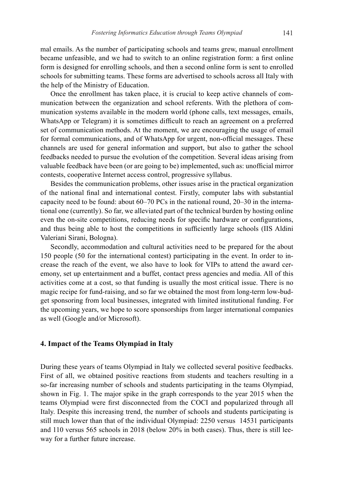mal emails. As the number of participating schools and teams grew, manual enrollment became unfeasible, and we had to switch to an online registration form: a first online form is designed for enrolling schools, and then a second online form is sent to enrolled schools for submitting teams. These forms are advertised to schools across all Italy with the help of the Ministry of Education.

Once the enrollment has taken place, it is crucial to keep active channels of communication between the organization and school referents. With the plethora of communication systems available in the modern world (phone calls, text messages, emails, WhatsApp or Telegram) it is sometimes difficult to reach an agreement on a preferred set of communication methods. At the moment, we are encouraging the usage of email for formal communications, and of WhatsApp for urgent, non-official messages. These channels are used for general information and support, but also to gather the school feedbacks needed to pursue the evolution of the competition. Several ideas arising from valuable feedback have been (or are going to be) implemented, such as: unofficial mirror contests, cooperative Internet access control, progressive syllabus.

Besides the communication problems, other issues arise in the practical organization of the national final and international contest. Firstly, computer labs with substantial capacity need to be found: about 60–70 PCs in the national round, 20–30 in the international one (currently). So far, we alleviated part of the technical burden by hosting online even the on-site competitions, reducing needs for specific hardware or configurations, and thus being able to host the competitions in sufficiently large schools (IIS Aldini Valeriani Sirani, Bologna).

Secondly, accommodation and cultural activities need to be prepared for the about 150 people (50 for the international contest) participating in the event. In order to increase the reach of the event, we also have to look for VIPs to attend the award ceremony, set up entertainment and a buffet, contact press agencies and media. All of this activities come at a cost, so that funding is usually the most critical issue. There is no magic recipe for fund-raising, and so far we obtained the most from long-term low-budget sponsoring from local businesses, integrated with limited institutional funding. For the upcoming years, we hope to score sponsorships from larger international companies as well (Google and/or Microsoft).

# **4. Impact of the Teams Olympiad in Italy**

During these years of teams Olympiad in Italy we collected several positive feedbacks. First of all, we obtained positive reactions from students and teachers resulting in a so-far increasing number of schools and students participating in the teams Olympiad, shown in Fig. 1. The major spike in the graph corresponds to the year 2015 when the teams Olympiad were first disconnected from the COCI and popularized through all Italy. Despite this increasing trend, the number of schools and students participating is still much lower than that of the individual Olympiad: 2250 versus 14531 participants and 110 versus 565 schools in 2018 (below 20% in both cases). Thus, there is still leeway for a further future increase.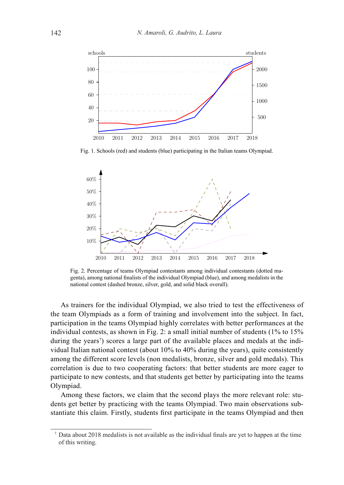

Fig. 1. Schools (red) and students (blue) participating in the Italian teams Olympiad.



Fig. 2. Percentage of teams Olympiad contestants among individual contestants (dotted magenta), among national finalists of the individual Olympiad (blue), and among medalists in the national contest (dashed bronze, silver, gold, and solid black overall).

As trainers for the individual Olympiad, we also tried to test the effectiveness of the team Olympiads as a form of training and involvement into the subject. In fact, participation in the teams Olympiad highly correlates with better performances at the individual contests, as shown in Fig. 2: a small initial number of students (1% to 15% during the years<sup>7</sup>) scores a large part of the available places and medals at the individual Italian national contest (about 10% to 40% during the years), quite consistently among the different score levels (non medalists, bronze, silver and gold medals). This correlation is due to two cooperating factors: that better students are more eager to participate to new contests, and that students get better by participating into the teams Olympiad.

Among these factors, we claim that the second plays the more relevant role: students get better by practicing with the teams Olympiad. Two main observations substantiate this claim. Firstly, students first participate in the teams Olympiad and then

<sup>7</sup> Data about 2018 medalists is not available as the individual finals are yet to happen at the time of this writing.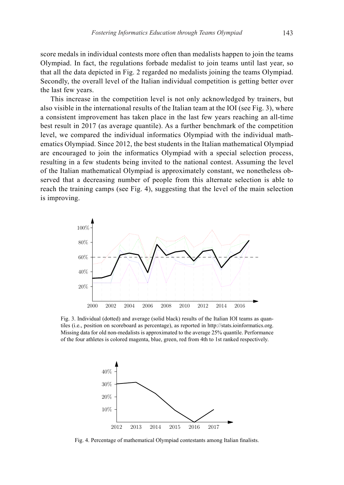score medals in individual contests more often than medalists happen to join the teams Olympiad. In fact, the regulations forbade medalist to join teams until last year, so that all the data depicted in Fig. 2 regarded no medalists joining the teams Olympiad. Secondly, the overall level of the Italian individual competition is getting better over the last few years.

This increase in the competition level is not only acknowledged by trainers, but also visible in the international results of the Italian team at the IOI (see Fig. 3), where a consistent improvement has taken place in the last few years reaching an all-time best result in 2017 (as average quantile). As a further benchmark of the competition level, we compared the individual informatics Olympiad with the individual mathematics Olympiad. Since 2012, the best students in the Italian mathematical Olympiad are encouraged to join the informatics Olympiad with a special selection process, resulting in a few students being invited to the national contest. Assuming the level of the Italian mathematical Olympiad is approximately constant, we nonetheless observed that a decreasing number of people from this alternate selection is able to reach the training camps (see Fig. 4), suggesting that the level of the main selection is improving.



Fig. 3. Individual (dotted) and average (solid black) results of the Italian IOI teams as quantiles (i.e., position on scoreboard as percentage), as reported in http://stats.ioinformatics.org. Missing data for old non-medalists is approximated to the average 25% quantile. Performance of the four athletes is colored magenta, blue, green, red from 4th to 1st ranked respectively.



Fig. 4. Percentage of mathematical Olympiad contestants among Italian finalists.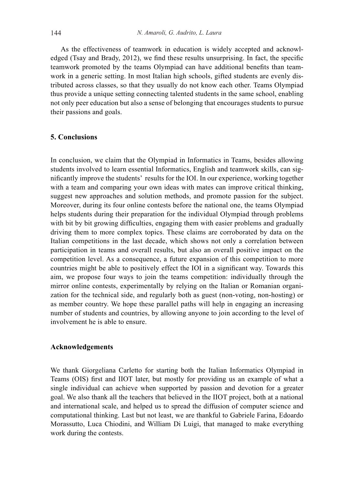As the effectiveness of teamwork in education is widely accepted and acknowledged (Tsay and Brady, 2012), we find these results unsurprising. In fact, the specific teamwork promoted by the teams Olympiad can have additional benefits than teamwork in a generic setting. In most Italian high schools, gifted students are evenly distributed across classes, so that they usually do not know each other. Teams Olympiad thus provide a unique setting connecting talented students in the same school, enabling not only peer education but also a sense of belonging that encourages students to pursue their passions and goals.

# **5. Conclusions**

In conclusion, we claim that the Olympiad in Informatics in Teams, besides allowing students involved to learn essential Informatics, English and teamwork skills, can significantly improve the students' results for the IOI. In our experience, working together with a team and comparing your own ideas with mates can improve critical thinking, suggest new approaches and solution methods, and promote passion for the subject. Moreover, during its four online contests before the national one, the teams Olympiad helps students during their preparation for the individual Olympiad through problems with bit by bit growing difficulties, engaging them with easier problems and gradually driving them to more complex topics. These claims are corroborated by data on the Italian competitions in the last decade, which shows not only a correlation between participation in teams and overall results, but also an overall positive impact on the competition level. As a consequence, a future expansion of this competition to more countries might be able to positively effect the IOI in a significant way. Towards this aim, we propose four ways to join the teams competition: individually through the mirror online contests, experimentally by relying on the Italian or Romanian organization for the technical side, and regularly both as guest (non-voting, non-hosting) or as member country. We hope these parallel paths will help in engaging an increasing number of students and countries, by allowing anyone to join according to the level of involvement he is able to ensure.

# **Acknowledgements**

We thank Giorgeliana Carletto for starting both the Italian Informatics Olympiad in Teams (OIS) first and IIOT later, but mostly for providing us an example of what a single individual can achieve when supported by passion and devotion for a greater goal. We also thank all the teachers that believed in the IIOT project, both at a national and international scale, and helped us to spread the diffusion of computer science and computational thinking. Last but not least, we are thankful to Gabriele Farina, Edoardo Morassutto, Luca Chiodini, and William Di Luigi, that managed to make everything work during the contests.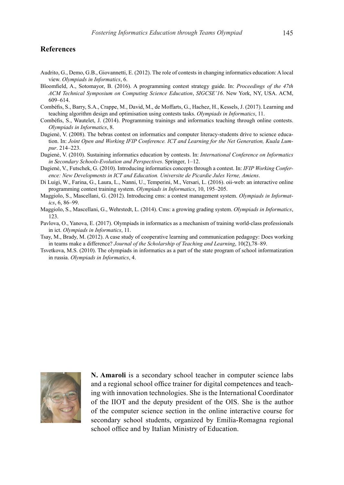#### **References**

- Audrito, G., Demo, G.B., Giovannetti, E. (2012). The role of contests in changing informatics education: A local view. *Olympiads in Informatics*, 6.
- Bloomfield, A., Sotomayor, B. (2016). A programming contest strategy guide. In: *Proceedings of the 47th ACM Technical Symposium on Computing Science Education*, *SIGCSE'16*. New York, NY, USA. ACM, 609–614.
- Combéfis, S., Barry, S.A., Crappe, M., David, M., de Moffarts, G., Hachez, H., Kessels, J. (2017). Learning and teaching algorithm design and optimisation using contests tasks. *Olympiads in Informatics*, 11.
- Combéfis, S., Wautelet, J. (2014). Programming trainings and informatics teaching through online contests. *Olympiads in Informatics*, 8.
- Dagienė, V. (2008). The bebras contest on informatics and computer literacy-students drive to science education. In: *Joint Open and Working IFIP Conference. ICT and Learning for the Net Generation, Kuala Lumpur*. 214–223.
- Dagienė, V. (2010). Sustaining informatics education by contests. In: *International Conference on Informatics in Secondary Schools-Evolution and Perspectives*. Springer, 1–12.
- Dagienė, V., Futschek, G. (2010). Introducing informatics concepts through a contest. In: *IFIP Working Conference: New Developments in ICT and Education. Universite de Picardie Jules Verne, Amiens*.
- Di Luigi, W., Farina, G., Laura, L., Nanni, U., Temperini, M., Versari, L. (2016). oii-web: an interactive online programming contest training system. *Olympiads in Informatics*, 10, 195–205.
- Maggiolo, S., Mascellani, G. (2012). Introducing cms: a contest management system. *Olympiads in Informatics*, 6, 86–99.
- Maggiolo, S., Mascellani, G., Wehrstedt, L. (2014). Cms: a growing grading system. *Olympiads in Informatics*, 123.
- Pavlova, O., Yanova, E. (2017). Olympiads in informatics as a mechanism of training world-class professionals in ict. *Olympiads in Informatics*, 11.
- Tsay, M., Brady, M. (2012). A case study of cooperative learning and communication pedagogy: Does working in teams make a difference? *Journal of the Scholarship of Teaching and Learning*, 10(2),78–89.
- Tsvetkova, M.S. (2010). The olympiads in informatics as a part of the state program of school informatization in russia. *Olympiads in Informatics*, 4.



**N. Amaroli** is a secondary school teacher in computer science labs and a regional school office trainer for digital competences and teaching with innovation technologies. She is the International Coordinator of the IIOT and the deputy president of the OIS. She is the author of the computer science section in the online interactive course for secondary school students, organized by Emilia-Romagna regional school office and by Italian Ministry of Education.